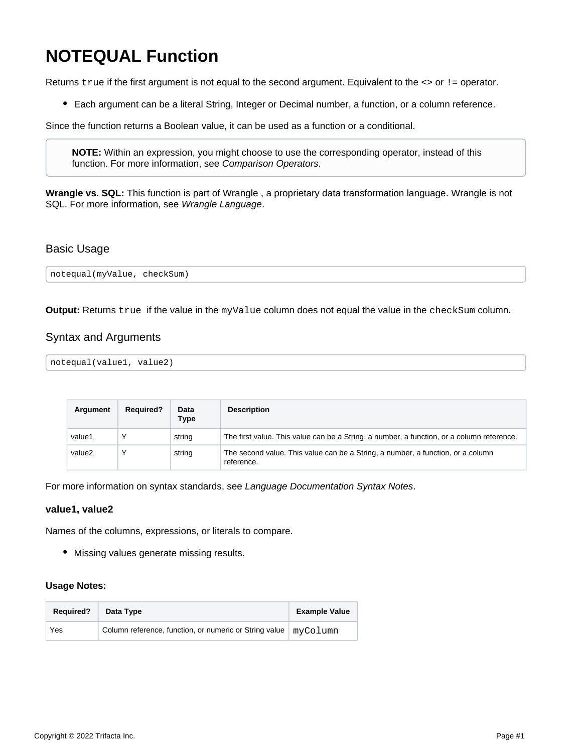# **NOTEQUAL Function**

Returns true if the first argument is not equal to the second argument. Equivalent to the <> or ! = operator.

Each argument can be a literal String, Integer or Decimal number, a function, or a column reference.

Since the function returns a Boolean value, it can be used as a function or a conditional.

**NOTE:** Within an expression, you might choose to use the corresponding operator, instead of this function. For more information, see [Comparison Operators](https://docs.trifacta.com/display/AWS/Comparison+Operators).

**Wrangle vs. SQL:** This function is part of Wrangle , a proprietary data transformation language. Wrangle is not SQL. For more information, see [Wrangle Language](https://docs.trifacta.com/display/AWS/Wrangle+Language).

## Basic Usage

notequal(myValue, checkSum)

**Output:** Returns true if the value in the myValue column does not equal the value in the checkSum column.

## Syntax and Arguments

```
notequal(value1, value2)
```

| Argument | <b>Required?</b> | Data<br>Type | <b>Description</b>                                                                            |
|----------|------------------|--------------|-----------------------------------------------------------------------------------------------|
| value1   |                  | string       | The first value. This value can be a String, a number, a function, or a column reference.     |
| value2   |                  | string       | The second value. This value can be a String, a number, a function, or a column<br>reference. |

For more information on syntax standards, see [Language Documentation Syntax Notes](https://docs.trifacta.com/display/AWS/Language+Documentation+Syntax+Notes).

### **value1, value2**

Names of the columns, expressions, or literals to compare.

Missing values generate missing results.

### **Usage Notes:**

| <b>Required?</b> | Data Type                                                         | <b>Example Value</b> |
|------------------|-------------------------------------------------------------------|----------------------|
| Yes              | Column reference, function, or numeric or String value   myColumn |                      |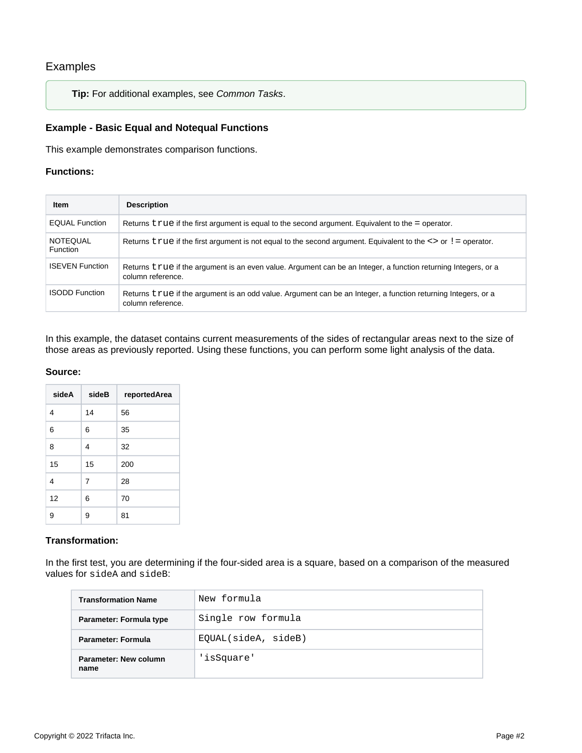# Examples

**Tip:** For additional examples, see [Common Tasks](https://docs.trifacta.com/display/AWS/Common+Tasks).

## **Example - Basic Equal and Notequal Functions**

This example demonstrates comparison functions.

#### **Functions:**

| <b>Item</b>                        | <b>Description</b>                                                                                                                  |
|------------------------------------|-------------------------------------------------------------------------------------------------------------------------------------|
| <b>EQUAL Function</b>              | Returns $true$ if the first argument is equal to the second argument. Equivalent to the = operator.                                 |
| <b>NOTEQUAL</b><br><b>Function</b> | Returns $true$ if the first argument is not equal to the second argument. Equivalent to the $\leq$ or $!=$ operator.                |
| <b>ISEVEN Function</b>             | Returns true if the argument is an even value. Argument can be an Integer, a function returning Integers, or a<br>column reference. |
| <b>ISODD Function</b>              | Returns true if the argument is an odd value. Argument can be an Integer, a function returning Integers, or a<br>column reference.  |

In this example, the dataset contains current measurements of the sides of rectangular areas next to the size of those areas as previously reported. Using these functions, you can perform some light analysis of the data.

#### **Source:**

| sideA | sideB          | reportedArea |
|-------|----------------|--------------|
| 4     | 14             | 56           |
| 6     | 6              | 35           |
| 8     | 4              | 32           |
| 15    | 15             | 200          |
| 4     | $\overline{7}$ | 28           |
| 12    | 6              | 70           |
| 9     | 9              | 81           |

### **Transformation:**

In the first test, you are determining if the four-sided area is a square, based on a comparison of the measured values for sideA and sideB:

| <b>Transformation Name</b>    | New formula         |
|-------------------------------|---------------------|
| Parameter: Formula type       | Single row formula  |
| <b>Parameter: Formula</b>     | EQUAL(sideA, sideB) |
| Parameter: New column<br>name | 'isSquare'          |